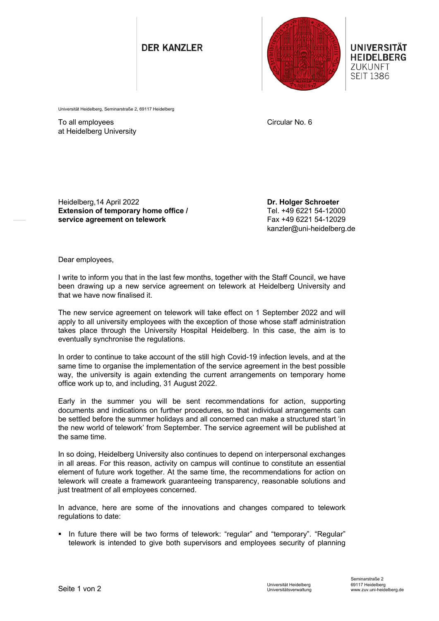## **DER KANZLER**



UNIVERSITÄT **HEIDELBERG** ZUKUNFT **SEIT 1386** 

Universität Heidelberg, Seminarstraße 2, 69117 Heidelberg

To all employees at Heidelberg University Circular No. 6

Heidelberg,14 April 2022 **Extension of temporary home office / service agreement on telework**

**Dr. Holger Schroeter** Tel. +49 6221 54-12000 Fax +49 6221 54-12029 kanzler@uni-heidelberg.de

Dear employees,

I write to inform you that in the last few months, together with the Staff Council, we have been drawing up a new service agreement on telework at Heidelberg University and that we have now finalised it.

The new service agreement on telework will take effect on 1 September 2022 and will apply to all university employees with the exception of those whose staff administration takes place through the University Hospital Heidelberg. In this case, the aim is to eventually synchronise the regulations.

In order to continue to take account of the still high Covid-19 infection levels, and at the same time to organise the implementation of the service agreement in the best possible way, the university is again extending the current arrangements on temporary home office work up to, and including, 31 August 2022.

Early in the summer you will be sent recommendations for action, supporting documents and indications on further procedures, so that individual arrangements can be settled before the summer holidays and all concerned can make a structured start 'in the new world of telework' from September. The service agreement will be published at the same time.

In so doing, Heidelberg University also continues to depend on interpersonal exchanges in all areas. For this reason, activity on campus will continue to constitute an essential element of future work together. At the same time, the recommendations for action on telework will create a framework guaranteeing transparency, reasonable solutions and just treatment of all employees concerned.

In advance, here are some of the innovations and changes compared to telework regulations to date:

In future there will be two forms of telework: "regular" and "temporary". "Regular" telework is intended to give both supervisors and employees security of planning